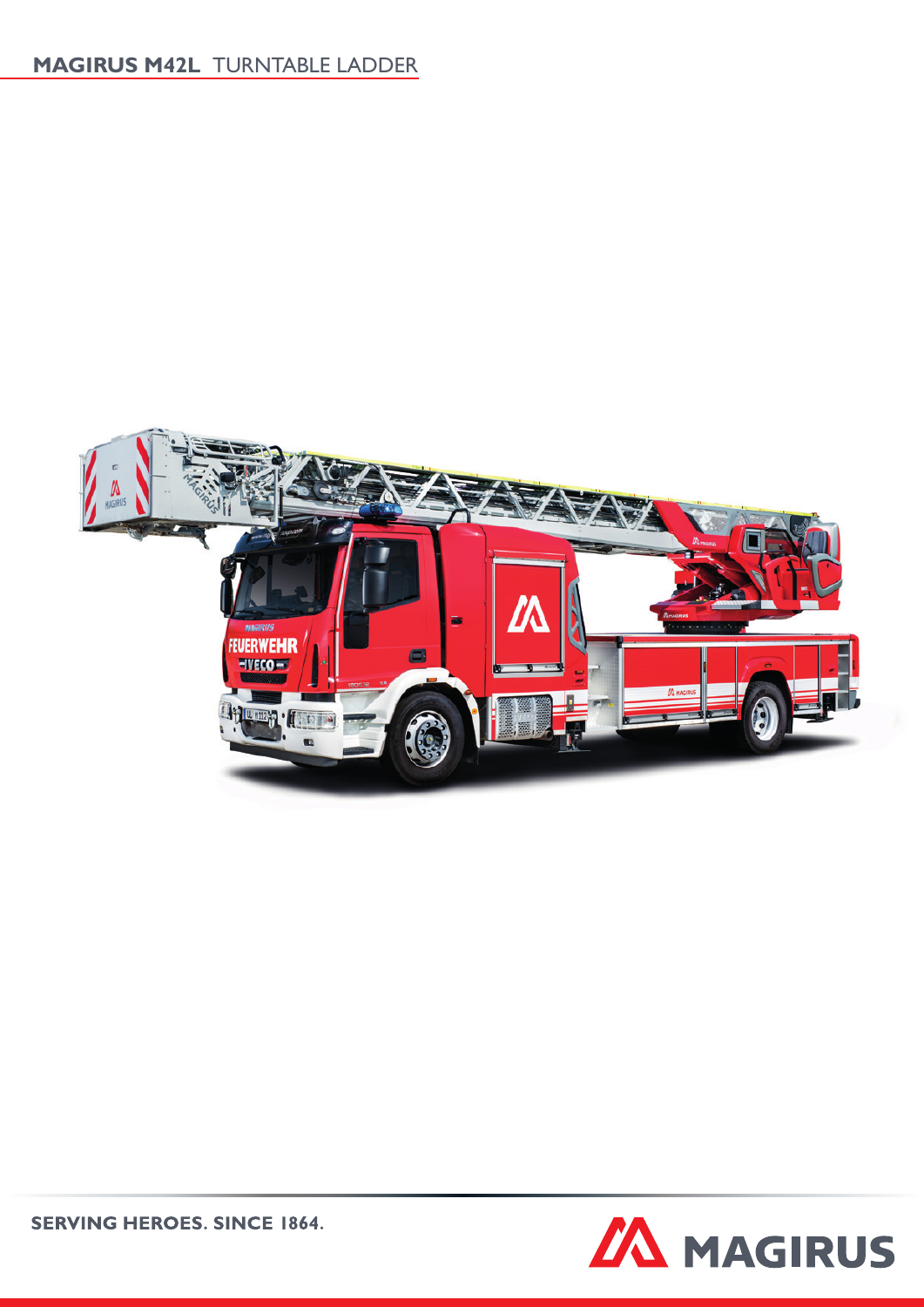# **MAGIRUS M42L** TURNTABLE LADDER





**SERVING HEROES. SINCE 1864.**